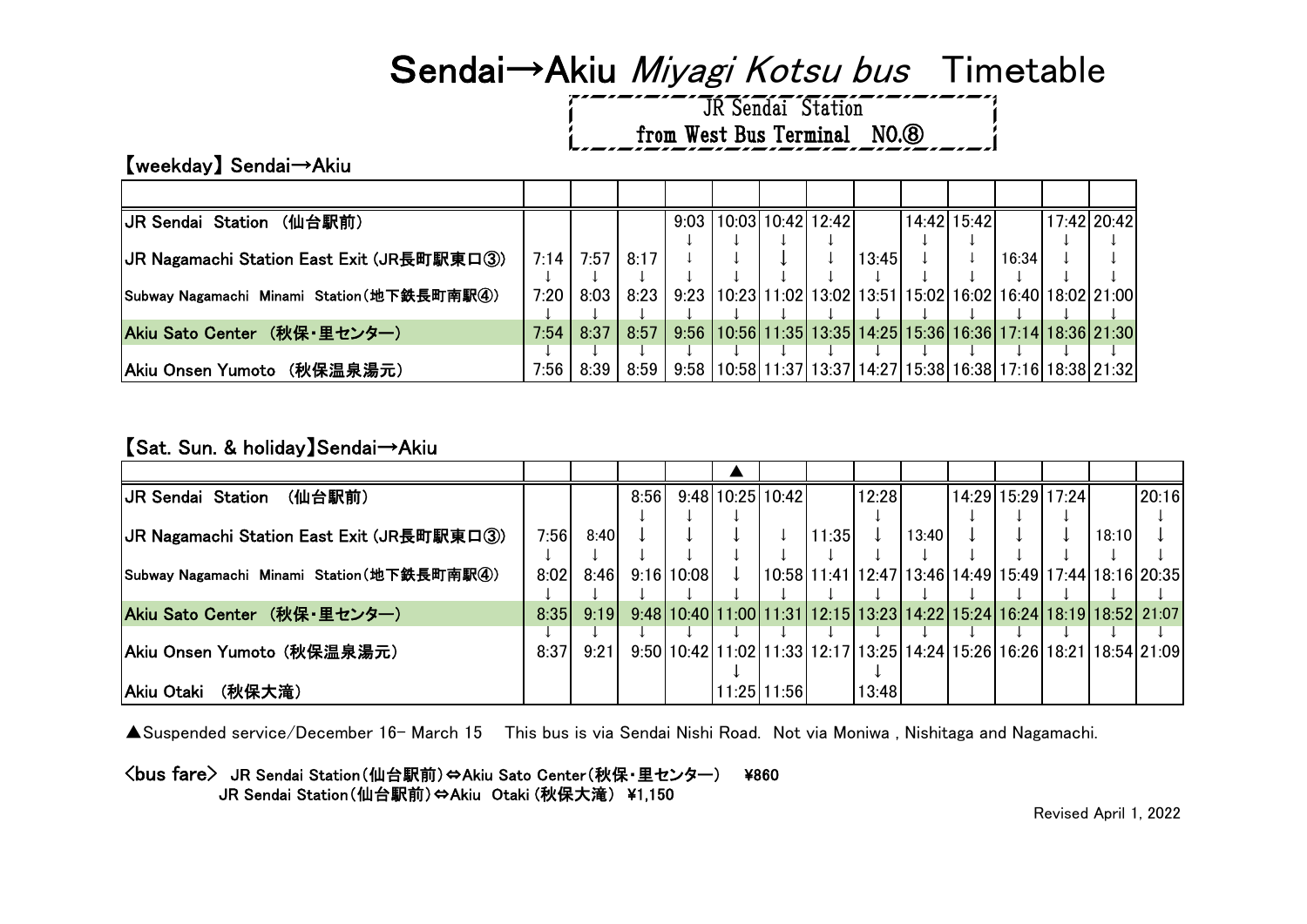# Sendai→Akiu Miyagi Kotsu bus Timetable

JR Sendai Station from West Bus Terminal NO.<sup>3</sup>

【weekday】 Sendai→Akiu

| JR Sendai Station (仙台駅前)                   |      |                  |             | 9:03   10:03   10:42   12:42 |  |       | 14:42 15:42 |       | 17:42 20:42                                                                  |
|--------------------------------------------|------|------------------|-------------|------------------------------|--|-------|-------------|-------|------------------------------------------------------------------------------|
|                                            |      |                  |             |                              |  |       |             |       |                                                                              |
| JR Nagamachi Station East Exit (JR長町駅東口③)  |      | $7:14$ 7:57 8:17 |             |                              |  | 13:45 |             | 16:34 |                                                                              |
|                                            |      |                  |             |                              |  |       |             |       |                                                                              |
| Subway Nagamachi Minami Station(地下鉄長町南駅4)) | 7:20 |                  | 8:03   8:23 |                              |  |       |             |       | 9:23   10:23   11:02   13:02   13:51   15:02   16:02   16:40   18:02   21:00 |
|                                            |      |                  |             |                              |  |       |             |       |                                                                              |
| Akiu Sato Center (秋保・里センター)                | 7:54 | 8:37             | 8:57        |                              |  |       |             |       | 9:56   10:56   11:35   13:35   14:25   15:36   16:36   17:14   18:36   21:30 |
|                                            |      |                  |             |                              |  |       |             |       |                                                                              |
| Akiu Onsen Yumoto (秋保温泉湯元)                 | 7:56 | 8:39             | 8:59        |                              |  |       |             |       | 9:58   10:58   11:37   13:37   14:27   15:38   16:38   17:16   18:38   21:32 |

### 【Sat. Sun. & holiday】Sendai→Akiu

| <b>JR Sendai Station</b><br>(仙台駅前)         |      |      | 8:56 |            | 9:48110:25110:42 |             |       | 12:28 |       | 14:29 15:29 17:24                                                      |       | 20:16 |
|--------------------------------------------|------|------|------|------------|------------------|-------------|-------|-------|-------|------------------------------------------------------------------------|-------|-------|
|                                            |      |      |      |            |                  |             |       |       |       |                                                                        |       |       |
| JR Nagamachi Station East Exit (JR長町駅東口③)  | 7:56 | 8:40 |      |            |                  |             | 11:35 |       | 13:40 |                                                                        | 18:10 |       |
|                                            |      |      |      |            |                  |             |       |       |       |                                                                        |       |       |
| Subway Nagamachi Minami Station(地下鉄長町南駅4)) | 8:02 | 8:46 |      | 9:16 10:08 | $\perp$          |             |       |       |       | $10:58$ 11:41 12:47 13:46 14:49 15:49 17:44 18:16 20:35                |       |       |
|                                            |      |      |      |            |                  |             |       |       |       |                                                                        |       |       |
| Akiu Sato Center (秋保・里センター)                | 8:35 | 9:19 |      |            |                  |             |       |       |       | 9:48 10:40 11:00 11:31 12:15 13:23 14:22 15:24 16:24 18:19 18:52 21:07 |       |       |
|                                            |      |      |      |            |                  |             |       |       |       |                                                                        |       |       |
| Akiu Onsen Yumoto (秋保温泉湯元)                 | 8:37 | 9:21 |      |            |                  |             |       |       |       | 9:50 10:42 11:02 11:33 12:17 13:25 14:24 15:26 16:26 18:21 18:54 21:09 |       |       |
|                                            |      |      |      |            |                  |             |       |       |       |                                                                        |       |       |
| Akiu Otaki<br>(秋保大滝)                       |      |      |      |            |                  | 11:25 11:56 |       | 13:48 |       |                                                                        |       |       |

▲Suspended service/December 16- March 15 This bus is via Sendai Nishi Road. Not via Moniwa , Nishitaga and Nagamachi.

<bus fare> JR Sendai Station(仙台駅前)⇔Akiu Sato Center(秋保・里センター) ¥860 JR Sendai Station(仙台駅前)⇔Akiu Otaki (秋保大滝) \1,150

Revised April 1, 2022